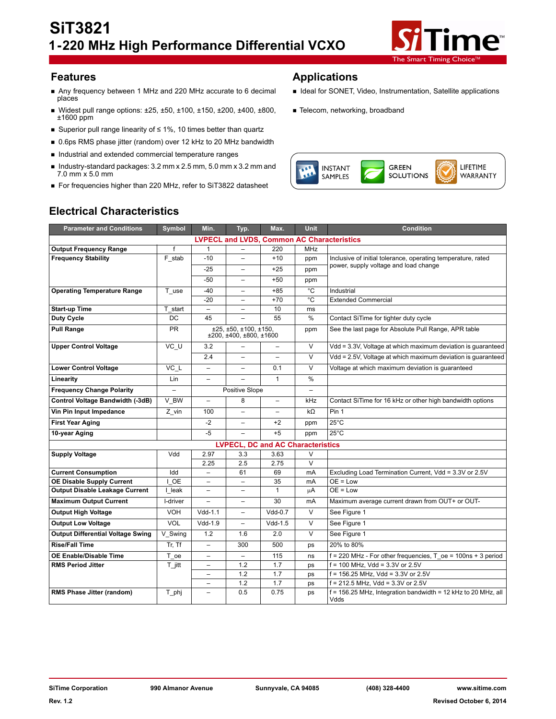

- Any frequency between 1 MHz and 220 MHz accurate to 6 decimal Ideal for SONET, Video, Instrumentation, Satellite applications<br>places
- Widest pull range options: ±25, ±50, ±100, ±150, ±200, ±400, ±800, ±1600 ppm
- Superior pull range linearity of ≤ 1%, 10 times better than quartz
- 0.6ps RMS phase jitter (random) over 12 kHz to 20 MHz bandwidth
- Industrial and extended commercial temperature ranges
- Industry-standard packages:  $3.2$  mm x  $2.5$  mm,  $5.0$  mm x  $3.2$  mm and 7.0 mm x 5.0 mm
- For frequencies higher than 220 MHz, refer to SiT3822 datasheet

## **Features Applications**

- 
- **Telecom, networking, broadband**



# **Electrical Characteristics**

| <b>Parameter and Conditions</b>                   | Symbol              | Min.                     | Typ.                                             | Max.                     | Unit                     | <b>Condition</b>                                                      |
|---------------------------------------------------|---------------------|--------------------------|--------------------------------------------------|--------------------------|--------------------------|-----------------------------------------------------------------------|
| <b>LVPECL and LVDS, Common AC Characteristics</b> |                     |                          |                                                  |                          |                          |                                                                       |
| <b>Output Frequency Range</b>                     | f                   | 1                        |                                                  | 220                      | MHz                      |                                                                       |
| <b>Frequency Stability</b>                        | F stab              | $-10$                    |                                                  | $+10$                    | ppm                      | Inclusive of initial tolerance, operating temperature, rated          |
|                                                   |                     | $-25$                    | $\overline{\phantom{0}}$                         | $+25$                    | ppm                      | power, supply voltage and load change                                 |
|                                                   |                     | $-50$                    | $\overline{\phantom{0}}$                         | $+50$                    | ppm                      |                                                                       |
| <b>Operating Temperature Range</b>                | T use               | $-40$                    | -                                                | $+85$                    | $^{\circ}$ C             | Industrial                                                            |
|                                                   |                     | $-20$                    | $\overline{\phantom{0}}$                         | $+70$                    | °C                       | <b>Extended Commercial</b>                                            |
| <b>Start-up Time</b>                              | T start             | $\overline{\phantom{0}}$ | -                                                | 10                       | ms                       |                                                                       |
| <b>Duty Cycle</b>                                 | DC                  | 45                       |                                                  | 55                       | %                        | Contact SiTime for tighter duty cycle                                 |
| <b>Pull Range</b>                                 | <b>PR</b>           |                          | ±25, ±50, ±100, ±150.<br>±200, ±400, ±800, ±1600 |                          | ppm                      | See the last page for Absolute Pull Range, APR table                  |
| <b>Upper Control Voltage</b>                      | VC_U                | 3.2                      | $\overline{\phantom{0}}$                         | $\overline{\phantom{0}}$ | V                        | Vdd = 3.3V, Voltage at which maximum deviation is guaranteed          |
|                                                   |                     | 2.4                      | $\overline{\phantom{0}}$                         | $\equiv$                 | V                        | Vdd = 2.5V, Voltage at which maximum deviation is guaranteed          |
| <b>Lower Control Voltage</b>                      | VC L                | $\overline{\phantom{0}}$ | $\overline{a}$                                   | 0.1                      | $\vee$                   | Voltage at which maximum deviation is quaranteed                      |
| Linearity                                         | Lin                 | $\overline{\phantom{0}}$ | L                                                | $\mathbf{1}$             | $\%$                     |                                                                       |
| <b>Frequency Change Polarity</b>                  | $\overline{a}$      |                          | Positive Slope                                   |                          | $\overline{\phantom{0}}$ |                                                                       |
| Control Voltage Bandwidth (-3dB)                  | V BW                | $\overline{\phantom{0}}$ | 8                                                | $\overline{\phantom{0}}$ | kHz                      | Contact SiTime for 16 kHz or other high bandwidth options             |
| Vin Pin Input Impedance                           | Z vin               | 100                      |                                                  | $\overline{\phantom{0}}$ | $k\Omega$                | Pin 1                                                                 |
| <b>First Year Aging</b>                           |                     | $-2$                     |                                                  | $+2$                     | ppm                      | $25^{\circ}$ C                                                        |
| 10-year Aging                                     |                     | $-5$                     | $\overline{\phantom{0}}$                         | $+5$                     | ppm                      | $25^{\circ}$ C                                                        |
| <b>LVPECL, DC and AC Characteristics</b>          |                     |                          |                                                  |                          |                          |                                                                       |
| <b>Supply Voltage</b>                             | Vdd                 | 2.97                     | 3.3                                              | 3.63                     | V                        |                                                                       |
|                                                   |                     | 2.25                     | 2.5                                              | 2.75                     | $\overline{\mathsf{v}}$  |                                                                       |
| <b>Current Consumption</b>                        | Idd                 | $\overline{a}$           | 61                                               | 69                       | mA                       | Excluding Load Termination Current, Vdd = 3.3V or 2.5V                |
| <b>OE Disable Supply Current</b>                  | <b>OE</b>           | $\overline{\phantom{0}}$ | $\overline{\phantom{0}}$                         | 35                       | mA                       | $OE = Low$                                                            |
| <b>Output Disable Leakage Current</b>             | I leak              | $\overline{\phantom{0}}$ | $\overline{\phantom{0}}$                         | $\mathbf{1}$             | μA                       | $OE = Low$                                                            |
| <b>Maximum Output Current</b>                     | I-driver            | $\overline{\phantom{0}}$ | $\overline{\phantom{0}}$                         | 30                       | mA                       | Maximum average current drawn from OUT+ or OUT-                       |
| <b>Output High Voltage</b>                        | <b>VOH</b>          | $Vdd-1.1$                | $\overline{\phantom{0}}$                         | $Vdd-0.7$                | V                        | See Figure 1                                                          |
| <b>Output Low Voltage</b>                         | <b>VOL</b>          | $Vdd-1.9$                | $\overline{\phantom{0}}$                         | $Vdd-1.5$                | V                        | See Figure 1                                                          |
| <b>Output Differential Voltage Swing</b>          | V Swing             | 1.2                      | 1.6                                              | 2.0                      | V                        | See Figure 1                                                          |
| <b>Rise/Fall Time</b>                             | Tr. Tf              | $\overline{a}$           | 300                                              | 500                      | ps                       | 20% to 80%                                                            |
| <b>OE Enable/Disable Time</b>                     | T_oe                | $\overline{\phantom{0}}$ | $\overline{a}$                                   | 115                      | ns                       | $f = 220$ MHz - For other frequencies, T oe = 100ns + 3 period        |
| <b>RMS Period Jitter</b>                          | $T_{\parallel}$ itt | $\overline{\phantom{0}}$ | 1.2                                              | 1.7                      | ps                       | $f = 100$ MHz, Vdd = 3.3V or 2.5V                                     |
|                                                   |                     | $\equiv$                 | 1.2                                              | 1.7                      | ps                       | $f = 156.25$ MHz, Vdd = 3.3V or 2.5V                                  |
|                                                   |                     | $\equiv$                 | 1.2                                              | 1.7                      | ps                       | $f = 212.5$ MHz, Vdd = 3.3V or 2.5V                                   |
| RMS Phase Jitter (random)                         | T_phj               | $\overline{\phantom{0}}$ | 0.5                                              | 0.75                     | ps                       | f = 156.25 MHz, Integration bandwidth = 12 kHz to 20 MHz, all<br>Vdds |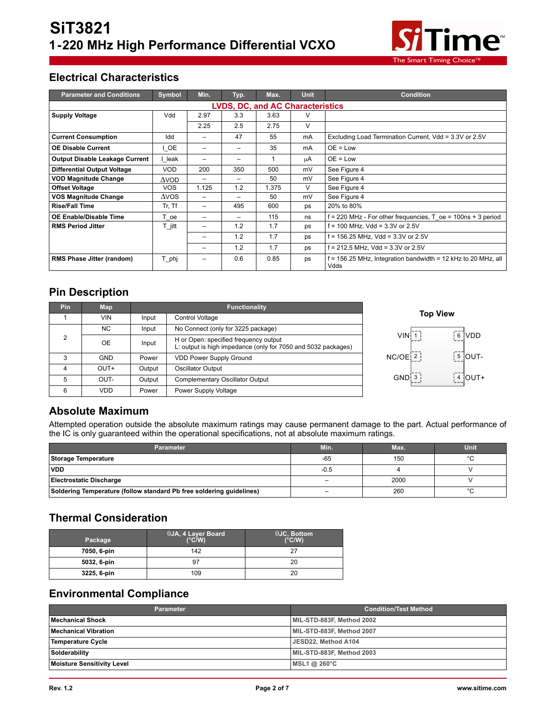

# **Electrical Characteristics**

| <b>Parameter and Conditions</b>         | <b>Symbol</b> | Min.                     | Typ.            | Max.  | <b>Unit</b> | <b>Condition</b>                                                      |
|-----------------------------------------|---------------|--------------------------|-----------------|-------|-------------|-----------------------------------------------------------------------|
| <b>LVDS, DC, and AC Characteristics</b> |               |                          |                 |       |             |                                                                       |
| <b>Supply Voltage</b>                   | Vdd           | 2.97                     | 3.3             | 3.63  | v           |                                                                       |
|                                         |               | 2.25                     | 2.5             | 2.75  | V           |                                                                       |
| <b>Current Consumption</b>              | Idd           | -                        | 47              | 55    | mA          | Excluding Load Termination Current, Vdd = 3.3V or 2.5V                |
| <b>OE Disable Current</b>               | I OE          | $\overline{\phantom{0}}$ | $\qquad \qquad$ | 35    | mA          | $OE = Low$                                                            |
| <b>Output Disable Leakage Current</b>   | leak          | -                        |                 |       | μA          | $OE = Low$                                                            |
| <b>Differential Output Voltage</b>      | <b>VOD</b>    | 200                      | 350             | 500   | mV          | See Figure 4                                                          |
| <b>VOD Magnitude Change</b>             | $\Delta$ VOD  | $\overline{\phantom{0}}$ | $\qquad \qquad$ | 50    | mV          | See Figure 4                                                          |
| <b>Offset Voltage</b>                   | <b>VOS</b>    | 1.125                    | 1.2             | 1.375 | V           | See Figure 4                                                          |
| <b>VOS Magnitude Change</b>             | $\Delta$ VOS  | -                        | -               | 50    | mV          | See Figure 4                                                          |
| <b>Rise/Fall Time</b>                   | Tr, Tf        | $\overline{\phantom{0}}$ | 495             | 600   | ps          | 20% to 80%                                                            |
| OE Enable/Disable Time                  | T oe          | -                        | -               | 115   | ns          | $f = 220$ MHz - For other frequencies, T $oe = 100$ ns + 3 period     |
| <b>RMS Period Jitter</b>                | T jitt        | -                        | 1.2             | 1.7   | ps          | f = 100 MHz, Vdd = 3.3V or 2.5V                                       |
|                                         |               | $\overline{\phantom{0}}$ | 1.2             | 1.7   | ps          | f = 156.25 MHz, Vdd = 3.3V or 2.5V                                    |
|                                         |               | -                        | 1.2             | 1.7   | ps          | f = 212.5 MHz, Vdd = 3.3V or 2.5V                                     |
| <b>RMS Phase Jitter (random)</b>        | T phj         | -                        | 0.6             | 0.85  | ps          | f = 156.25 MHz, Integration bandwidth = 12 kHz to 20 MHz, all<br>Vdds |

## **Pin Description**

| Pin | <b>Map</b> |        | <b>Functionality</b>                                                                                   |                                                            |  |
|-----|------------|--------|--------------------------------------------------------------------------------------------------------|------------------------------------------------------------|--|
|     | <b>VIN</b> | Input  | Control Voltage                                                                                        | <b>Top View</b>                                            |  |
|     | NC.        | Input  | No Connect (only for 3225 package)                                                                     |                                                            |  |
| 2   | <b>OE</b>  | Input  | H or Open: specified frequency output<br>L: output is high impedance (only for 7050 and 5032 packages) | 6 VDD<br>VINI <sub>1</sub>                                 |  |
|     | <b>GND</b> | Power  | <b>VDD Power Supply Ground</b>                                                                         | $\left\lceil \frac{5}{5} \right\rceil$ OUT-<br>$NC/OE$ $2$ |  |
| 4   | OUT+       | Output | <b>Oscillator Output</b>                                                                               |                                                            |  |
| 5   | OUT-       | Output | Complementary Oscillator Output                                                                        | $\frac{1}{2}$ 4 OUT+<br>GND 3                              |  |
| 6   | <b>VDD</b> | Power  | Power Supply Voltage                                                                                   |                                                            |  |

## **Absolute Maximum**

Attempted operation outside the absolute maximum ratings may cause permanent damage to the part. Actual performance of the IC is only guaranteed within the operational specifications, not at absolute maximum ratings.

| <b>Parameter</b>                                                     | Min.                     | Max. | Unit    |
|----------------------------------------------------------------------|--------------------------|------|---------|
| Storage Temperature                                                  | $-65$                    | 150  | $\circ$ |
| <b>VDD</b>                                                           | $-0.5$                   |      |         |
| Electrostatic Discharge                                              | $\overline{\phantom{0}}$ | 2000 |         |
| Soldering Temperature (follow standard Pb free soldering guidelines) | $\overline{\phantom{0}}$ | 260  | $\circ$ |

## **Thermal Consideration**

| Package     | <sup>l</sup> θJA, 4 Layer Board ,<br>$(^{\circ}C/W)$ | $\theta$ JC, Bottom<br>$(^{\circ}C/W)$ |
|-------------|------------------------------------------------------|----------------------------------------|
| 7050, 6-pin | 142                                                  | っっ                                     |
| 5032, 6-pin | 97                                                   | 20                                     |
| 3225, 6-pin | 109                                                  | 20                                     |

## **Environmental Compliance**

| <b>Parameter</b>                  | <b>Condition/Test Method</b> |
|-----------------------------------|------------------------------|
| Mechanical Shock                  | MIL-STD-883F, Method 2002    |
| <b>Mechanical Vibration</b>       | MIL-STD-883F, Method 2007    |
| Temperature Cycle                 | JESD22, Method A104          |
| Solderability                     | MIL-STD-883F, Method 2003    |
| <b>Moisture Sensitivity Level</b> | MSL1 @ 260°C                 |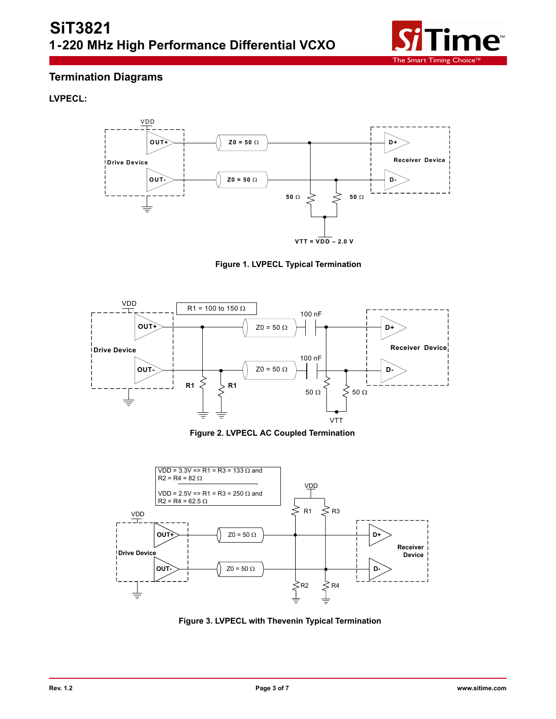

## **Termination Diagrams**

## **LVPECL:**



**Figure 1. LVPECL Typical Termination**



**Figure 2. LVPECL AC Coupled Termination**



**Figure 3. LVPECL with Thevenin Typical Termination**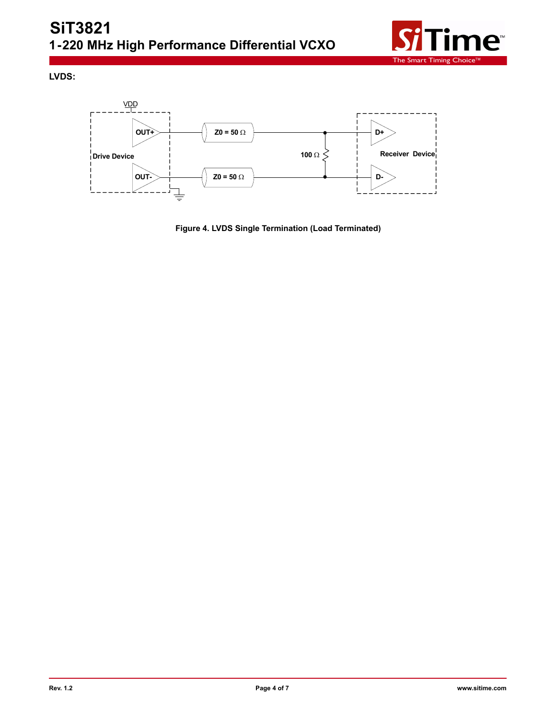

**LVDS:**



**Figure 4. LVDS Single Termination (Load Terminated)**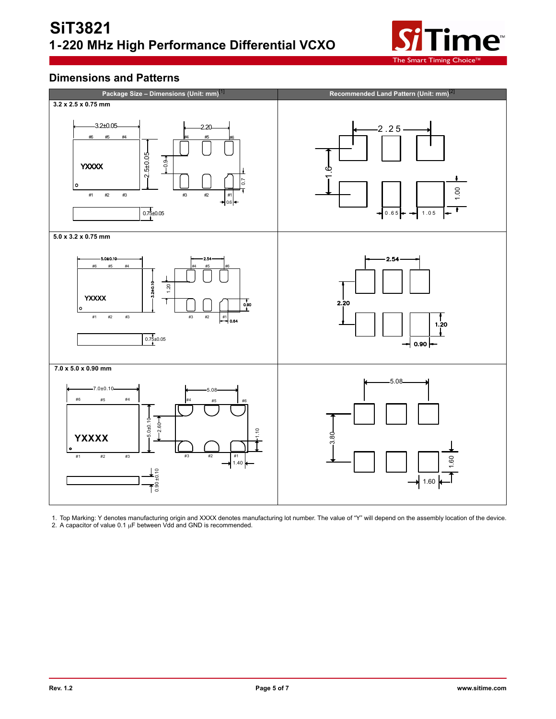

## **Dimensions and Patterns**



1. Top Marking: Y denotes manufacturing origin and XXXX denotes manufacturing lot number. The value of "Y" will depend on the assembly location of the device. 2. A capacitor of value  $0.1 \mu F$  between Vdd and GND is recommended.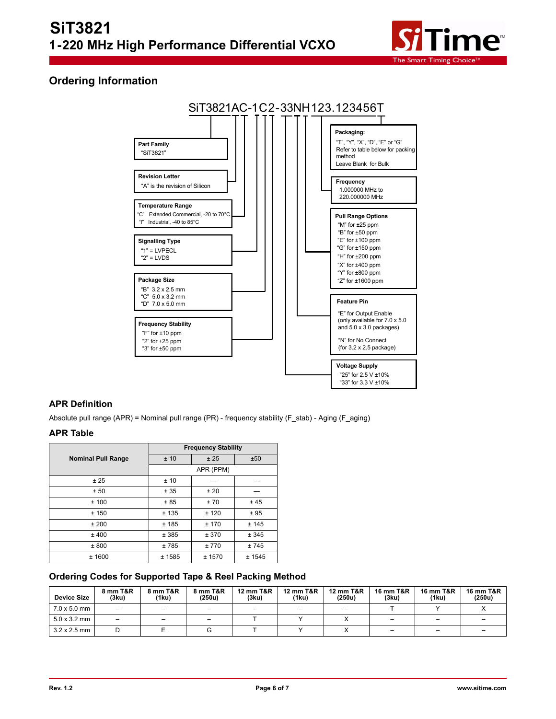

## **Ordering Information**



#### **APR Definition**

Absolute pull range (APR) = Nominal pull range (PR) - frequency stability (F\_stab) - Aging (F\_aging)

#### **APR Table**

|                           | <b>Frequency Stability</b> |           |        |  |  |  |
|---------------------------|----------------------------|-----------|--------|--|--|--|
| <b>Nominal Pull Range</b> | ±10                        | ±25       | ±50    |  |  |  |
|                           |                            | APR (PPM) |        |  |  |  |
| ± 25                      | ±10                        |           |        |  |  |  |
| ± 50                      | ± 35                       | ±20       |        |  |  |  |
| ±100                      | ±85                        | ±70       | ±45    |  |  |  |
| ± 150                     | ±135                       | ±120      | ±95    |  |  |  |
| ±200                      | ±185                       | ± 170     | ± 145  |  |  |  |
| ±400                      | ± 385                      | ± 370     | ± 345  |  |  |  |
| ± 800                     | ±785                       | ±770      | ±745   |  |  |  |
| ± 1600                    | ± 1585                     | ± 1570    | ± 1545 |  |  |  |

### **Ordering Codes for Supported Tape & Reel Packing Method**

| <b>Device Size</b>  | 8 mm T&R<br>(3ku)        | 8 mm T&R<br>(1ku) | 8 mm T&R<br>(250u) | <b>12 mm T&amp;R</b><br>(3ku) | 12 mm T&R<br>(1ku) | <b>12 mm T&amp;R</b><br>(250u) | <b>16 mm T&amp;R</b><br>(3ku) | 16 mm T&R<br>(1ku)       | 16 mm T&R<br>(250u) |
|---------------------|--------------------------|-------------------|--------------------|-------------------------------|--------------------|--------------------------------|-------------------------------|--------------------------|---------------------|
| $7.0 \times 5.0$ mm | -                        |                   |                    |                               |                    | $\qquad \qquad$                |                               |                          |                     |
| $5.0 \times 3.2$ mm | $\overline{\phantom{0}}$ |                   |                    |                               |                    |                                |                               | -                        |                     |
| $3.2 \times 2.5$ mm |                          |                   |                    |                               |                    |                                |                               | $\overline{\phantom{0}}$ |                     |